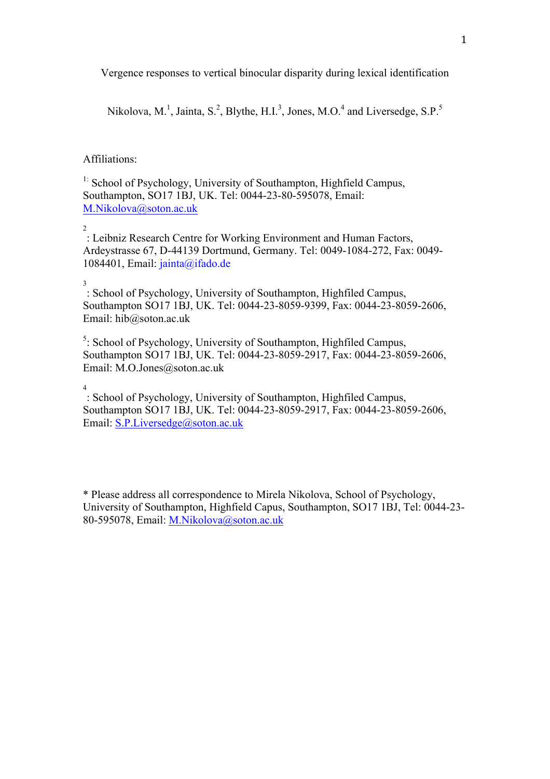Vergence responses to vertical binocular disparity during lexical identification

Nikolova, M.<sup>1</sup>, Jainta, S.<sup>2</sup>, Blythe, H.I.<sup>3</sup>, Jones, M.O.<sup>4</sup> and Liversedge, S.P.<sup>5</sup>

### Affiliations:

<sup>1:</sup> School of Psychology, University of Southampton, Highfield Campus, Southampton, SO17 1BJ, UK. Tel: 0044-23-80-595078, Email: M.Nikolova@soton.ac.uk

2

: Leibniz Research Centre for Working Environment and Human Factors, Ardeystrasse 67, D-44139 Dortmund, Germany. Tel: 0049-1084-272, Fax: 0049- 1084401, Email: jainta@ifado.de

3 : School of Psychology, University of Southampton, Highfiled Campus, Southampton SO17 1BJ, UK. Tel: 0044-23-8059-9399, Fax: 0044-23-8059-2606, Email: hib@soton.ac.uk

<sup>5</sup>: School of Psychology, University of Southampton, Highfiled Campus, Southampton SO17 1BJ, UK. Tel: 0044-23-8059-2917, Fax: 0044-23-8059-2606, Email: M.O.Jones@soton.ac.uk

4 : School of Psychology, University of Southampton, Highfiled Campus, Southampton SO17 1BJ, UK. Tel: 0044-23-8059-2917, Fax: 0044-23-8059-2606, Email: S.P.Liversedge@soton.ac.uk

\* Please address all correspondence to Mirela Nikolova, School of Psychology, University of Southampton, Highfield Capus, Southampton, SO17 1BJ, Tel: 0044-23- 80-595078, Email: M.Nikolova@soton.ac.uk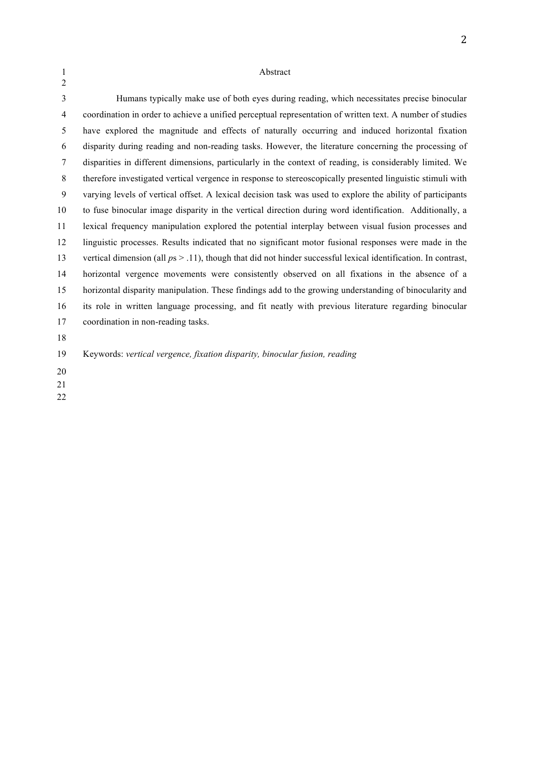| I<br>۰, |  |
|---------|--|

#### Abstract

 Humans typically make use of both eyes during reading, which necessitates precise binocular coordination in order to achieve a unified perceptual representation of written text. A number of studies have explored the magnitude and effects of naturally occurring and induced horizontal fixation disparity during reading and non-reading tasks. However, the literature concerning the processing of disparities in different dimensions, particularly in the context of reading, is considerably limited. We therefore investigated vertical vergence in response to stereoscopically presented linguistic stimuli with varying levels of vertical offset. A lexical decision task was used to explore the ability of participants to fuse binocular image disparity in the vertical direction during word identification. Additionally, a lexical frequency manipulation explored the potential interplay between visual fusion processes and linguistic processes. Results indicated that no significant motor fusional responses were made in the 13 vertical dimension (all  $ps > .11$ ), though that did not hinder successful lexical identification. In contrast, horizontal vergence movements were consistently observed on all fixations in the absence of a horizontal disparity manipulation. These findings add to the growing understanding of binocularity and its role in written language processing, and fit neatly with previous literature regarding binocular coordination in non-reading tasks. Keywords: *vertical vergence, fixation disparity, binocular fusion, reading*

- 
-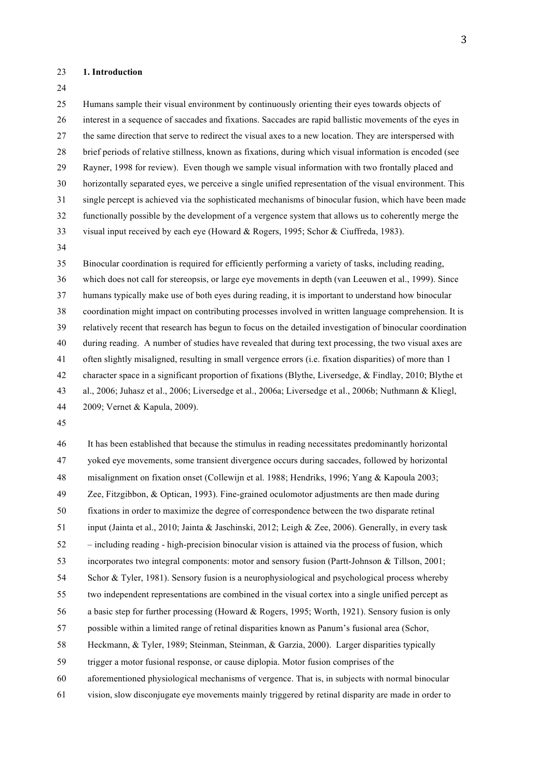#### **1. Introduction**

 Humans sample their visual environment by continuously orienting their eyes towards objects of interest in a sequence of saccades and fixations. Saccades are rapid ballistic movements of the eyes in the same direction that serve to redirect the visual axes to a new location. They are interspersed with brief periods of relative stillness, known as fixations, during which visual information is encoded (see Rayner, 1998 for review). Even though we sample visual information with two frontally placed and horizontally separated eyes, we perceive a single unified representation of the visual environment. This single percept is achieved via the sophisticated mechanisms of binocular fusion, which have been made functionally possible by the development of a vergence system that allows us to coherently merge the visual input received by each eye (Howard & Rogers, 1995; Schor & Ciuffreda, 1983). 

 Binocular coordination is required for efficiently performing a variety of tasks, including reading, which does not call for stereopsis, or large eye movements in depth (van Leeuwen et al., 1999). Since humans typically make use of both eyes during reading, it is important to understand how binocular coordination might impact on contributing processes involved in written language comprehension. It is relatively recent that research has begun to focus on the detailed investigation of binocular coordination during reading. A number of studies have revealed that during text processing, the two visual axes are often slightly misaligned, resulting in small vergence errors (i.e. fixation disparities) of more than 1 character space in a significant proportion of fixations (Blythe, Liversedge, & Findlay, 2010; Blythe et al., 2006; Juhasz et al., 2006; Liversedge et al., 2006a; Liversedge et al., 2006b; Nuthmann & Kliegl, 2009; Vernet & Kapula, 2009).

 It has been established that because the stimulus in reading necessitates predominantly horizontal yoked eye movements, some transient divergence occurs during saccades, followed by horizontal misalignment on fixation onset (Collewijn et al. 1988; Hendriks, 1996; Yang & Kapoula 2003; Zee, Fitzgibbon, & Optican, 1993). Fine-grained oculomotor adjustments are then made during fixations in order to maximize the degree of correspondence between the two disparate retinal input (Jainta et al., 2010; Jainta & Jaschinski, 2012; Leigh & Zee, 2006). Generally, in every task – including reading - high-precision binocular vision is attained via the process of fusion, which incorporates two integral components: motor and sensory fusion (Partt-Johnson & Tillson, 2001; Schor & Tyler, 1981). Sensory fusion is a neurophysiological and psychological process whereby two independent representations are combined in the visual cortex into a single unified percept as a basic step for further processing (Howard & Rogers, 1995; Worth, 1921). Sensory fusion is only possible within a limited range of retinal disparities known as Panum's fusional area (Schor, Heckmann, & Tyler, 1989; Steinman, Steinman, & Garzia, 2000). Larger disparities typically trigger a motor fusional response, or cause diplopia. Motor fusion comprises of the aforementioned physiological mechanisms of vergence. That is, in subjects with normal binocular

vision, slow disconjugate eye movements mainly triggered by retinal disparity are made in order to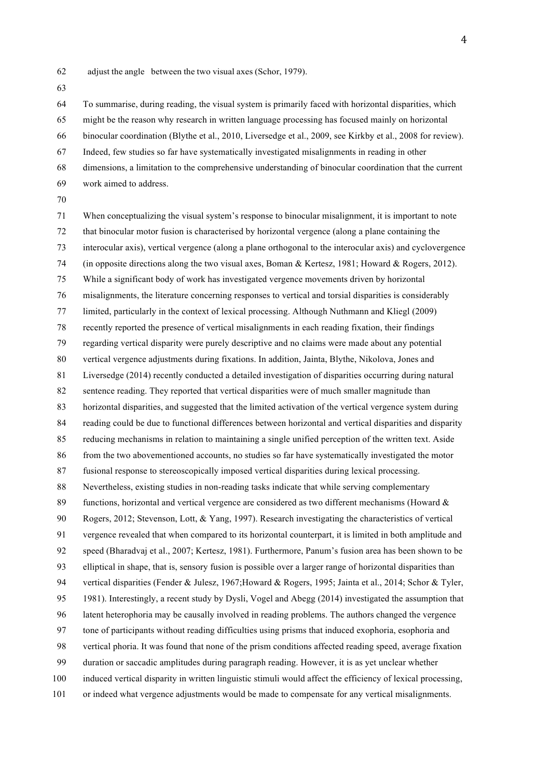- adjust the angle between the two visual axes (Schor, 1979).
- 

 To summarise, during reading, the visual system is primarily faced with horizontal disparities, which might be the reason why research in written language processing has focused mainly on horizontal binocular coordination (Blythe et al., 2010, Liversedge et al., 2009, see Kirkby et al., 2008 for review). Indeed, few studies so far have systematically investigated misalignments in reading in other dimensions, a limitation to the comprehensive understanding of binocular coordination that the current work aimed to address.

 When conceptualizing the visual system's response to binocular misalignment, it is important to note that binocular motor fusion is characterised by horizontal vergence (along a plane containing the interocular axis), vertical vergence (along a plane orthogonal to the interocular axis) and cyclovergence (in opposite directions along the two visual axes, Boman & Kertesz, 1981; Howard & Rogers, 2012). While a significant body of work has investigated vergence movements driven by horizontal misalignments, the literature concerning responses to vertical and torsial disparities is considerably limited, particularly in the context of lexical processing. Although Nuthmann and Kliegl (2009) recently reported the presence of vertical misalignments in each reading fixation, their findings regarding vertical disparity were purely descriptive and no claims were made about any potential vertical vergence adjustments during fixations. In addition, Jainta, Blythe, Nikolova, Jones and Liversedge (2014) recently conducted a detailed investigation of disparities occurring during natural sentence reading. They reported that vertical disparities were of much smaller magnitude than horizontal disparities, and suggested that the limited activation of the vertical vergence system during reading could be due to functional differences between horizontal and vertical disparities and disparity reducing mechanisms in relation to maintaining a single unified perception of the written text. Aside from the two abovementioned accounts, no studies so far have systematically investigated the motor fusional response to stereoscopically imposed vertical disparities during lexical processing. Nevertheless, existing studies in non-reading tasks indicate that while serving complementary 89 functions, horizontal and vertical vergence are considered as two different mechanisms (Howard  $\&$  Rogers, 2012; Stevenson, Lott, & Yang, 1997). Research investigating the characteristics of vertical vergence revealed that when compared to its horizontal counterpart, it is limited in both amplitude and speed (Bharadvaj et al., 2007; Kertesz, 1981). Furthermore, Panum's fusion area has been shown to be elliptical in shape, that is, sensory fusion is possible over a larger range of horizontal disparities than vertical disparities (Fender & Julesz, 1967;Howard & Rogers, 1995; Jainta et al., 2014; Schor & Tyler, 1981). Interestingly, a recent study by Dysli, Vogel and Abegg (2014) investigated the assumption that latent heterophoria may be causally involved in reading problems. The authors changed the vergence tone of participants without reading difficulties using prisms that induced exophoria, esophoria and vertical phoria. It was found that none of the prism conditions affected reading speed, average fixation duration or saccadic amplitudes during paragraph reading. However, it is as yet unclear whether induced vertical disparity in written linguistic stimuli would affect the efficiency of lexical processing, or indeed what vergence adjustments would be made to compensate for any vertical misalignments.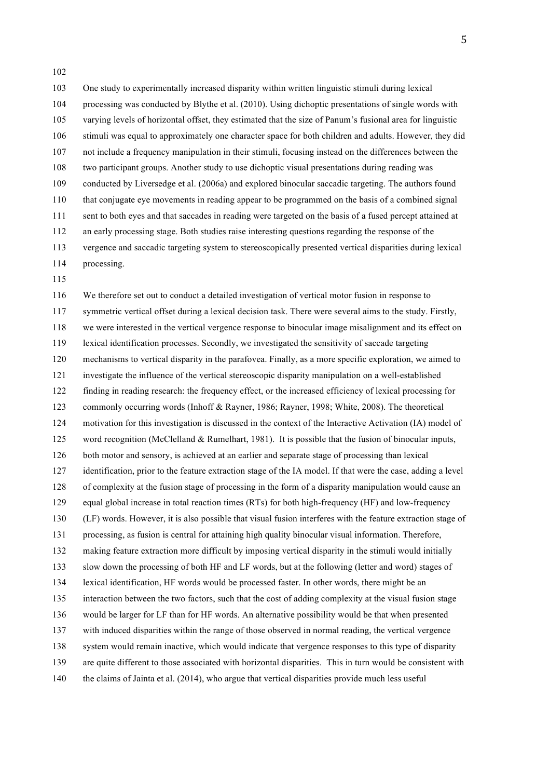One study to experimentally increased disparity within written linguistic stimuli during lexical processing was conducted by Blythe et al. (2010). Using dichoptic presentations of single words with varying levels of horizontal offset, they estimated that the size of Panum's fusional area for linguistic stimuli was equal to approximately one character space for both children and adults. However, they did not include a frequency manipulation in their stimuli, focusing instead on the differences between the two participant groups. Another study to use dichoptic visual presentations during reading was conducted by Liversedge et al. (2006a) and explored binocular saccadic targeting. The authors found that conjugate eye movements in reading appear to be programmed on the basis of a combined signal sent to both eyes and that saccades in reading were targeted on the basis of a fused percept attained at an early processing stage. Both studies raise interesting questions regarding the response of the vergence and saccadic targeting system to stereoscopically presented vertical disparities during lexical processing.

 We therefore set out to conduct a detailed investigation of vertical motor fusion in response to symmetric vertical offset during a lexical decision task. There were several aims to the study. Firstly, we were interested in the vertical vergence response to binocular image misalignment and its effect on lexical identification processes. Secondly, we investigated the sensitivity of saccade targeting mechanisms to vertical disparity in the parafovea. Finally, as a more specific exploration, we aimed to investigate the influence of the vertical stereoscopic disparity manipulation on a well-established finding in reading research: the frequency effect, or the increased efficiency of lexical processing for commonly occurring words (Inhoff & Rayner, 1986; Rayner, 1998; White, 2008). The theoretical motivation for this investigation is discussed in the context of the Interactive Activation (IA) model of word recognition (McClelland & Rumelhart, 1981). It is possible that the fusion of binocular inputs, both motor and sensory, is achieved at an earlier and separate stage of processing than lexical identification, prior to the feature extraction stage of the IA model. If that were the case, adding a level of complexity at the fusion stage of processing in the form of a disparity manipulation would cause an equal global increase in total reaction times (RTs) for both high-frequency (HF) and low-frequency (LF) words. However, it is also possible that visual fusion interferes with the feature extraction stage of processing, as fusion is central for attaining high quality binocular visual information. Therefore, making feature extraction more difficult by imposing vertical disparity in the stimuli would initially slow down the processing of both HF and LF words, but at the following (letter and word) stages of lexical identification, HF words would be processed faster. In other words, there might be an interaction between the two factors, such that the cost of adding complexity at the visual fusion stage would be larger for LF than for HF words. An alternative possibility would be that when presented with induced disparities within the range of those observed in normal reading, the vertical vergence system would remain inactive, which would indicate that vergence responses to this type of disparity are quite different to those associated with horizontal disparities. This in turn would be consistent with the claims of Jainta et al. (2014), who argue that vertical disparities provide much less useful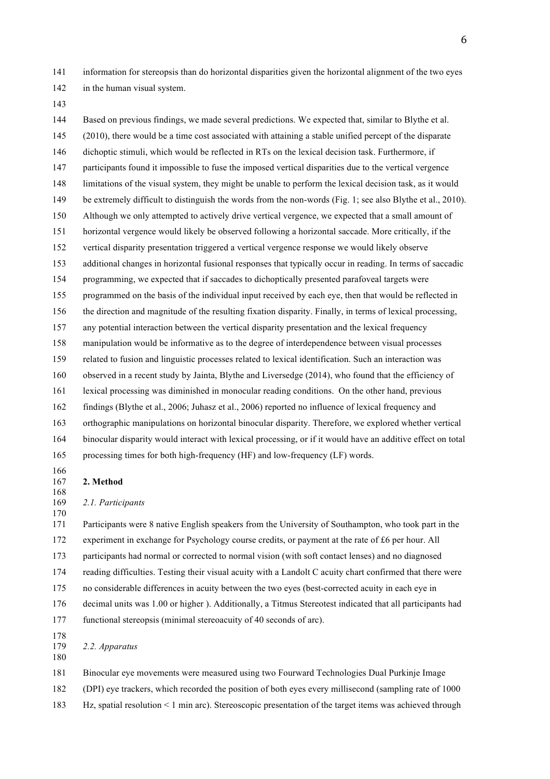information for stereopsis than do horizontal disparities given the horizontal alignment of the two eyes in the human visual system.

 Based on previous findings, we made several predictions. We expected that, similar to Blythe et al. (2010), there would be a time cost associated with attaining a stable unified percept of the disparate dichoptic stimuli, which would be reflected in RTs on the lexical decision task. Furthermore, if participants found it impossible to fuse the imposed vertical disparities due to the vertical vergence limitations of the visual system, they might be unable to perform the lexical decision task, as it would be extremely difficult to distinguish the words from the non-words (Fig. 1; see also Blythe et al., 2010). Although we only attempted to actively drive vertical vergence, we expected that a small amount of horizontal vergence would likely be observed following a horizontal saccade. More critically, if the vertical disparity presentation triggered a vertical vergence response we would likely observe additional changes in horizontal fusional responses that typically occur in reading. In terms of saccadic programming, we expected that if saccades to dichoptically presented parafoveal targets were programmed on the basis of the individual input received by each eye, then that would be reflected in the direction and magnitude of the resulting fixation disparity. Finally, in terms of lexical processing, any potential interaction between the vertical disparity presentation and the lexical frequency manipulation would be informative as to the degree of interdependence between visual processes related to fusion and linguistic processes related to lexical identification. Such an interaction was observed in a recent study by Jainta, Blythe and Liversedge (2014), who found that the efficiency of lexical processing was diminished in monocular reading conditions. On the other hand, previous findings (Blythe et al., 2006; Juhasz et al., 2006) reported no influence of lexical frequency and orthographic manipulations on horizontal binocular disparity. Therefore, we explored whether vertical binocular disparity would interact with lexical processing, or if it would have an additive effect on total processing times for both high-frequency (HF) and low-frequency (LF) words. 

#### **2. Method**

#### *2.1. Participants*

 Participants were 8 native English speakers from the University of Southampton, who took part in the experiment in exchange for Psychology course credits, or payment at the rate of £6 per hour. All participants had normal or corrected to normal vision (with soft contact lenses) and no diagnosed reading difficulties. Testing their visual acuity with a Landolt C acuity chart confirmed that there were no considerable differences in acuity between the two eyes (best-corrected acuity in each eye in decimal units was 1.00 or higher ). Additionally, a Titmus Stereotest indicated that all participants had functional stereopsis (minimal stereoacuity of 40 seconds of arc).

*2.2. Apparatus*

Binocular eye movements were measured using two Fourward Technologies Dual Purkinje Image

(DPI) eye trackers, which recorded the position of both eyes every millisecond (sampling rate of 1000

Hz, spatial resolution < 1 min arc). Stereoscopic presentation of the target items was achieved through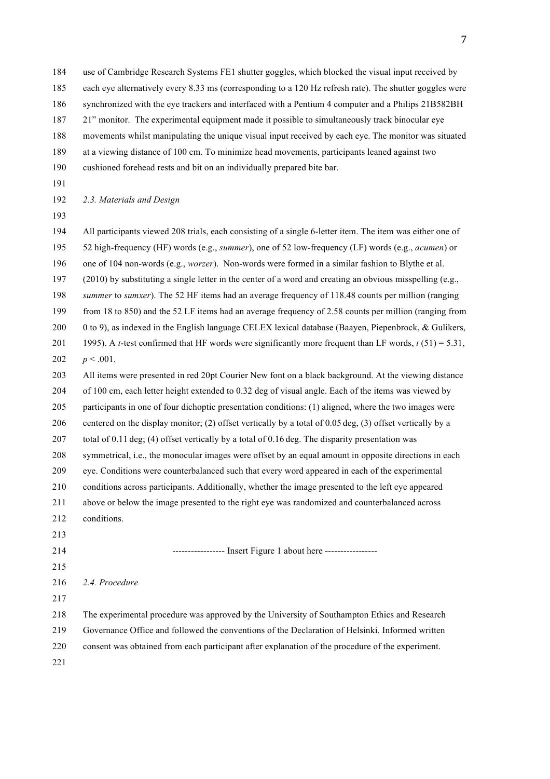use of Cambridge Research Systems FE1 shutter goggles, which blocked the visual input received by each eye alternatively every 8.33 ms (corresponding to a 120 Hz refresh rate). The shutter goggles were synchronized with the eye trackers and interfaced with a Pentium 4 computer and a Philips 21B582BH 21" monitor. The experimental equipment made it possible to simultaneously track binocular eye movements whilst manipulating the unique visual input received by each eye. The monitor was situated at a viewing distance of 100 cm. To minimize head movements, participants leaned against two cushioned forehead rests and bit on an individually prepared bite bar.

*2.3. Materials and Design*

 All participants viewed 208 trials, each consisting of a single 6-letter item. The item was either one of 52 high-frequency (HF) words (e.g., *summer*), one of 52 low-frequency (LF) words (e.g., *acumen*) or one of 104 non-words (e.g., *worzer*). Non-words were formed in a similar fashion to Blythe et al. (2010) by substituting a single letter in the center of a word and creating an obvious misspelling (e.g., *summer* to *sumxer*). The 52 HF items had an average frequency of 118.48 counts per million (ranging from 18 to 850) and the 52 LF items had an average frequency of 2.58 counts per million (ranging from 0 to 9), as indexed in the English language CELEX lexical database (Baayen, Piepenbrock, & Gulikers, 1995). A *t*-test confirmed that HF words were significantly more frequent than LF words, *t* (51) = 5.31,  $p < .001$ .

 All items were presented in red 20pt Courier New font on a black background. At the viewing distance of 100 cm, each letter height extended to 0.32 deg of visual angle. Each of the items was viewed by participants in one of four dichoptic presentation conditions: (1) aligned, where the two images were centered on the display monitor; (2) offset vertically by a total of 0.05 deg, (3) offset vertically by a total of 0.11 deg; (4) offset vertically by a total of 0.16 deg. The disparity presentation was symmetrical, i.e., the monocular images were offset by an equal amount in opposite directions in each eye. Conditions were counterbalanced such that every word appeared in each of the experimental conditions across participants. Additionally, whether the image presented to the left eye appeared above or below the image presented to the right eye was randomized and counterbalanced across conditions. ----------------- Insert Figure 1 about here ----------------- *2.4. Procedure*  The experimental procedure was approved by the University of Southampton Ethics and Research Governance Office and followed the conventions of the Declaration of Helsinki. Informed written consent was obtained from each participant after explanation of the procedure of the experiment.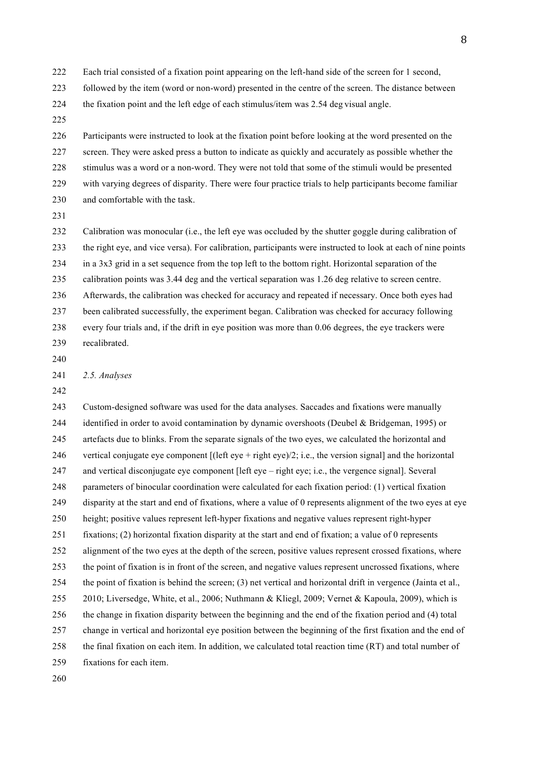Each trial consisted of a fixation point appearing on the left-hand side of the screen for 1 second,

- followed by the item (word or non-word) presented in the centre of the screen. The distance between
- the fixation point and the left edge of each stimulus/item was 2.54 deg visual angle.
- 

 Participants were instructed to look at the fixation point before looking at the word presented on the screen. They were asked press a button to indicate as quickly and accurately as possible whether the stimulus was a word or a non-word. They were not told that some of the stimuli would be presented with varying degrees of disparity. There were four practice trials to help participants become familiar 230 and comfortable with the task.

232 Calibration was monocular (i.e., the left eve was occluded by the shutter goggle during calibration of the right eye, and vice versa). For calibration, participants were instructed to look at each of nine points in a 3x3 grid in a set sequence from the top left to the bottom right. Horizontal separation of the calibration points was 3.44 deg and the vertical separation was 1.26 deg relative to screen centre. Afterwards, the calibration was checked for accuracy and repeated if necessary. Once both eyes had been calibrated successfully, the experiment began. Calibration was checked for accuracy following every four trials and, if the drift in eye position was more than 0.06 degrees, the eye trackers were recalibrated.

*2.5. Analyses*

 Custom-designed software was used for the data analyses. Saccades and fixations were manually identified in order to avoid contamination by dynamic overshoots (Deubel & Bridgeman, 1995) or artefacts due to blinks. From the separate signals of the two eyes, we calculated the horizontal and 246 vertical conjugate eye component  $[(left \text{ eve} + \text{right} \text{ eve})/2]$ ; i.e., the version signall and the horizontal and vertical disconjugate eye component [left eye – right eye; i.e., the vergence signal]. Several parameters of binocular coordination were calculated for each fixation period: (1) vertical fixation disparity at the start and end of fixations, where a value of 0 represents alignment of the two eyes at eye height; positive values represent left-hyper fixations and negative values represent right-hyper fixations; (2) horizontal fixation disparity at the start and end of fixation; a value of 0 represents alignment of the two eyes at the depth of the screen, positive values represent crossed fixations, where the point of fixation is in front of the screen, and negative values represent uncrossed fixations, where the point of fixation is behind the screen; (3) net vertical and horizontal drift in vergence (Jainta et al., 2010; Liversedge, White, et al., 2006; Nuthmann & Kliegl, 2009; Vernet & Kapoula, 2009), which is the change in fixation disparity between the beginning and the end of the fixation period and (4) total change in vertical and horizontal eye position between the beginning of the first fixation and the end of the final fixation on each item. In addition, we calculated total reaction time (RT) and total number of fixations for each item.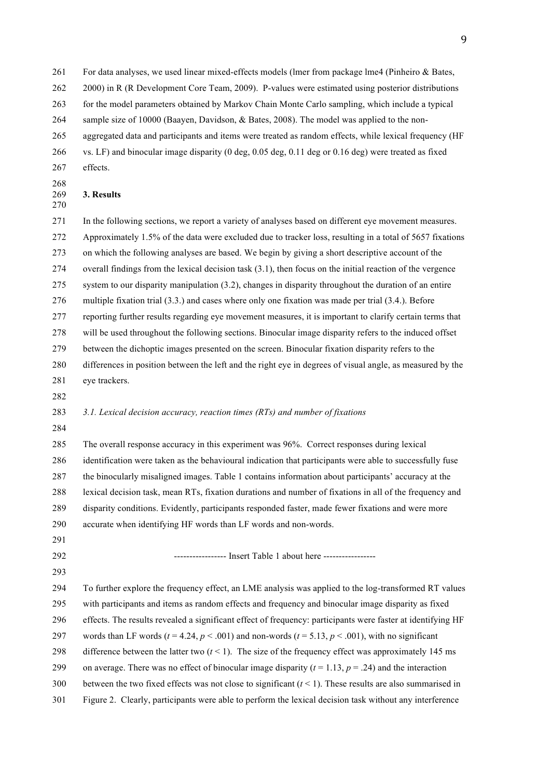For data analyses, we used linear mixed-effects models (lmer from package lme4 (Pinheiro & Bates,

2000) in R (R Development Core Team, 2009). P-values were estimated using posterior distributions

for the model parameters obtained by Markov Chain Monte Carlo sampling, which include a typical

sample size of 10000 (Baayen, Davidson, & Bates, 2008). The model was applied to the non-

aggregated data and participants and items were treated as random effects, while lexical frequency (HF

 vs. LF) and binocular image disparity (0 deg, 0.05 deg, 0.11 deg or 0.16 deg) were treated as fixed effects.

#### **3. Results**

 In the following sections, we report a variety of analyses based on different eye movement measures. Approximately 1.5% of the data were excluded due to tracker loss, resulting in a total of 5657 fixations on which the following analyses are based. We begin by giving a short descriptive account of the overall findings from the lexical decision task (3.1), then focus on the initial reaction of the vergence 275 system to our disparity manipulation (3.2), changes in disparity throughout the duration of an entire multiple fixation trial (3.3.) and cases where only one fixation was made per trial (3.4.). Before reporting further results regarding eye movement measures, it is important to clarify certain terms that will be used throughout the following sections. Binocular image disparity refers to the induced offset between the dichoptic images presented on the screen. Binocular fixation disparity refers to the differences in position between the left and the right eye in degrees of visual angle, as measured by the 281 eye trackers.

#### *3.1. Lexical decision accuracy, reaction times (RTs) and number of fixations*

 The overall response accuracy in this experiment was 96%. Correct responses during lexical identification were taken as the behavioural indication that participants were able to successfully fuse the binocularly misaligned images. Table 1 contains information about participants' accuracy at the lexical decision task, mean RTs, fixation durations and number of fixations in all of the frequency and disparity conditions. Evidently, participants responded faster, made fewer fixations and were more accurate when identifying HF words than LF words and non-words.

- 
- ----------------- Insert Table 1 about here -----------------
- 

 To further explore the frequency effect, an LME analysis was applied to the log-transformed RT values with participants and items as random effects and frequency and binocular image disparity as fixed effects. The results revealed a significant effect of frequency: participants were faster at identifying HF 297 words than LF words ( $t = 4.24$ ,  $p < .001$ ) and non-words ( $t = 5.13$ ,  $p < .001$ ), with no significant 298 difference between the latter two  $(t < 1)$ . The size of the frequency effect was approximately 145 ms 299 on average. There was no effect of binocular image disparity  $(t = 1.13, p = .24)$  and the interaction 300 between the two fixed effects was not close to significant  $(t < 1)$ . These results are also summarised in Figure 2. Clearly, participants were able to perform the lexical decision task without any interference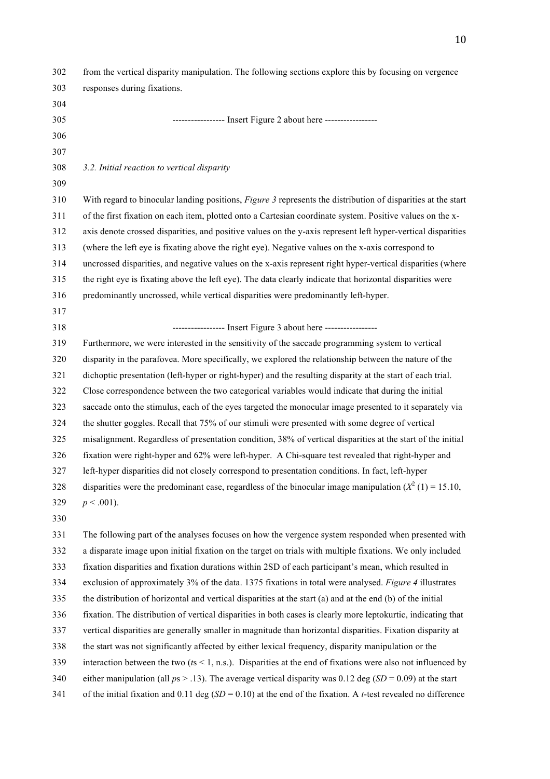| 302 | from the vertical disparity manipulation. The following sections explore this by focusing on vergence                    |
|-----|--------------------------------------------------------------------------------------------------------------------------|
| 303 | responses during fixations.                                                                                              |
| 304 |                                                                                                                          |
| 305 |                                                                                                                          |
| 306 |                                                                                                                          |
| 307 |                                                                                                                          |
| 308 | 3.2. Initial reaction to vertical disparity                                                                              |
| 309 |                                                                                                                          |
| 310 | With regard to binocular landing positions, <i>Figure 3</i> represents the distribution of disparities at the start      |
| 311 | of the first fixation on each item, plotted onto a Cartesian coordinate system. Positive values on the x-                |
| 312 | axis denote crossed disparities, and positive values on the y-axis represent left hyper-vertical disparities             |
| 313 | (where the left eye is fixating above the right eye). Negative values on the x-axis correspond to                        |
| 314 | uncrossed disparities, and negative values on the x-axis represent right hyper-vertical disparities (where               |
| 315 | the right eye is fixating above the left eye). The data clearly indicate that horizontal disparities were                |
| 316 | predominantly uncrossed, while vertical disparities were predominantly left-hyper.                                       |
| 317 |                                                                                                                          |
| 318 | ---------------- Insert Figure 3 about here -----------------                                                            |
| 319 | Furthermore, we were interested in the sensitivity of the saccade programming system to vertical                         |
| 320 | disparity in the parafovea. More specifically, we explored the relationship between the nature of the                    |
| 321 | dichoptic presentation (left-hyper or right-hyper) and the resulting disparity at the start of each trial.               |
| 322 | Close correspondence between the two categorical variables would indicate that during the initial                        |
| 323 | saccade onto the stimulus, each of the eyes targeted the monocular image presented to it separately via                  |
| 324 | the shutter goggles. Recall that 75% of our stimuli were presented with some degree of vertical                          |
| 325 | misalignment. Regardless of presentation condition, 38% of vertical disparities at the start of the initial              |
| 326 | fixation were right-hyper and 62% were left-hyper. A Chi-square test revealed that right-hyper and                       |
| 327 | left-hyper disparities did not closely correspond to presentation conditions. In fact, left-hyper                        |
| 328 | disparities were the predominant case, regardless of the binocular image manipulation $(X^2(1) = 15.10)$ ,               |
| 329 | $p < .001$ ).                                                                                                            |
| 330 |                                                                                                                          |
| 331 | The following part of the analyses focuses on how the vergence system responded when presented with                      |
| 332 | a disparate image upon initial fixation on the target on trials with multiple fixations. We only included                |
| 333 | fixation disparities and fixation durations within 2SD of each participant's mean, which resulted in                     |
| 334 | exclusion of approximately 3% of the data. 1375 fixations in total were analysed. Figure 4 illustrates                   |
| 335 | the distribution of horizontal and vertical disparities at the start (a) and at the end (b) of the initial               |
| 336 | fixation. The distribution of vertical disparities in both cases is clearly more leptokurtic, indicating that            |
| 337 | vertical disparities are generally smaller in magnitude than horizontal disparities. Fixation disparity at               |
| 338 | the start was not significantly affected by either lexical frequency, disparity manipulation or the                      |
| 339 | interaction between the two ( $ts < 1$ , n.s.). Disparities at the end of fixations were also not influenced by          |
| 340 | either manipulation (all $ps > .13$ ). The average vertical disparity was 0.12 deg ( $SD = 0.09$ ) at the start          |
| 341 | of the initial fixation and 0.11 deg ( $SD = 0.10$ ) at the end of the fixation. A <i>t</i> -test revealed no difference |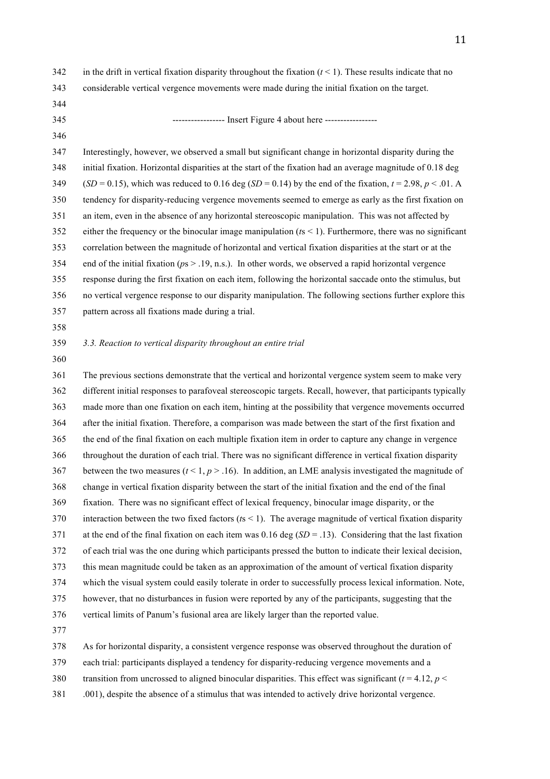342 in the drift in vertical fixation disparity throughout the fixation  $(t < 1)$ . These results indicate that no considerable vertical vergence movements were made during the initial fixation on the target. ----------------- Insert Figure 4 about here ----------------- Interestingly, however, we observed a small but significant change in horizontal disparity during the initial fixation. Horizontal disparities at the start of the fixation had an average magnitude of 0.18 deg 349 (*SD* = 0.15), which was reduced to 0.16 deg (*SD* = 0.14) by the end of the fixation,  $t = 2.98$ ,  $p < .01$ . A tendency for disparity-reducing vergence movements seemed to emerge as early as the first fixation on

 an item, even in the absence of any horizontal stereoscopic manipulation. This was not affected by either the frequency or the binocular image manipulation (*t*s < 1). Furthermore, there was no significant correlation between the magnitude of horizontal and vertical fixation disparities at the start or at the end of the initial fixation (*p*s > .19, n.s.). In other words, we observed a rapid horizontal vergence response during the first fixation on each item, following the horizontal saccade onto the stimulus, but no vertical vergence response to our disparity manipulation. The following sections further explore this pattern across all fixations made during a trial.

#### *3.3. Reaction to vertical disparity throughout an entire trial*

 The previous sections demonstrate that the vertical and horizontal vergence system seem to make very different initial responses to parafoveal stereoscopic targets. Recall, however, that participants typically made more than one fixation on each item, hinting at the possibility that vergence movements occurred after the initial fixation. Therefore, a comparison was made between the start of the first fixation and the end of the final fixation on each multiple fixation item in order to capture any change in vergence throughout the duration of each trial. There was no significant difference in vertical fixation disparity 367 between the two measures ( $t < 1, p > 0.16$ ). In addition, an LME analysis investigated the magnitude of change in vertical fixation disparity between the start of the initial fixation and the end of the final fixation. There was no significant effect of lexical frequency, binocular image disparity, or the interaction between the two fixed factors (*t*s < 1). The average magnitude of vertical fixation disparity at the end of the final fixation on each item was 0.16 deg (*SD* = .13). Considering that the last fixation of each trial was the one during which participants pressed the button to indicate their lexical decision, this mean magnitude could be taken as an approximation of the amount of vertical fixation disparity which the visual system could easily tolerate in order to successfully process lexical information. Note, however, that no disturbances in fusion were reported by any of the participants, suggesting that the vertical limits of Panum's fusional area are likely larger than the reported value. 

As for horizontal disparity, a consistent vergence response was observed throughout the duration of

- each trial: participants displayed a tendency for disparity-reducing vergence movements and a
- 380 transition from uncrossed to aligned binocular disparities. This effect was significant  $(t = 4.12, p <$
- .001), despite the absence of a stimulus that was intended to actively drive horizontal vergence.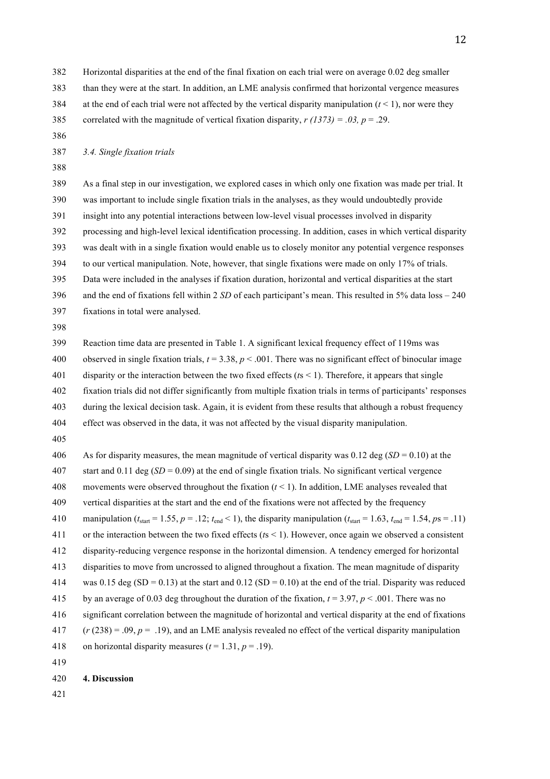Horizontal disparities at the end of the final fixation on each trial were on average 0.02 deg smaller than they were at the start. In addition, an LME analysis confirmed that horizontal vergence measures 384 at the end of each trial were not affected by the vertical disparity manipulation  $(t < 1)$ , nor were they 385 correlated with the magnitude of vertical fixation disparity,  $r (1373) = .03$ ,  $p = .29$ .

#### *3.4. Single fixation trials*

 As a final step in our investigation, we explored cases in which only one fixation was made per trial. It was important to include single fixation trials in the analyses, as they would undoubtedly provide insight into any potential interactions between low-level visual processes involved in disparity processing and high-level lexical identification processing. In addition, cases in which vertical disparity was dealt with in a single fixation would enable us to closely monitor any potential vergence responses to our vertical manipulation. Note, however, that single fixations were made on only 17% of trials. Data were included in the analyses if fixation duration, horizontal and vertical disparities at the start and the end of fixations fell within 2 *SD* of each participant's mean. This resulted in 5% data loss – 240 fixations in total were analysed.

 Reaction time data are presented in Table 1. A significant lexical frequency effect of 119ms was 400 observed in single fixation trials,  $t = 3.38$ ,  $p < .001$ . There was no significant effect of binocular image disparity or the interaction between the two fixed effects (*t*s < 1). Therefore, it appears that single fixation trials did not differ significantly from multiple fixation trials in terms of participants' responses during the lexical decision task. Again, it is evident from these results that although a robust frequency effect was observed in the data, it was not affected by the visual disparity manipulation.

- 
- 406 As for disparity measures, the mean magnitude of vertical disparity was  $0.12$  deg (*SD* = 0.10) at the
- start and 0.11 deg (*SD* = 0.09) at the end of single fixation trials. No significant vertical vergence
- movements were observed throughout the fixation (*t* < 1). In addition, LME analyses revealed that
- vertical disparities at the start and the end of the fixations were not affected by the frequency
- 410 manipulation ( $t_{\text{start}} = 1.55$ ,  $p = .12$ ;  $t_{\text{end}} < 1$ ), the disparity manipulation ( $t_{\text{start}} = 1.63$ ,  $t_{\text{end}} = 1.54$ ,  $ps = .11$ )
- or the interaction between the two fixed effects (*t*s < 1). However, once again we observed a consistent
- disparity-reducing vergence response in the horizontal dimension. A tendency emerged for horizontal
- disparities to move from uncrossed to aligned throughout a fixation. The mean magnitude of disparity
- 414 was 0.15 deg (SD = 0.13) at the start and 0.12 (SD = 0.10) at the end of the trial. Disparity was reduced
- by an average of 0.03 deg throughout the duration of the fixation, *t* = 3.97, *p* < .001. There was no
- significant correlation between the magnitude of horizontal and vertical disparity at the end of fixations
- (*r* (238) = .09, *p* = .19), and an LME analysis revealed no effect of the vertical disparity manipulation
- 418 on horizontal disparity measures  $(t = 1.31, p = .19)$ .
- 
- **4. Discussion**
-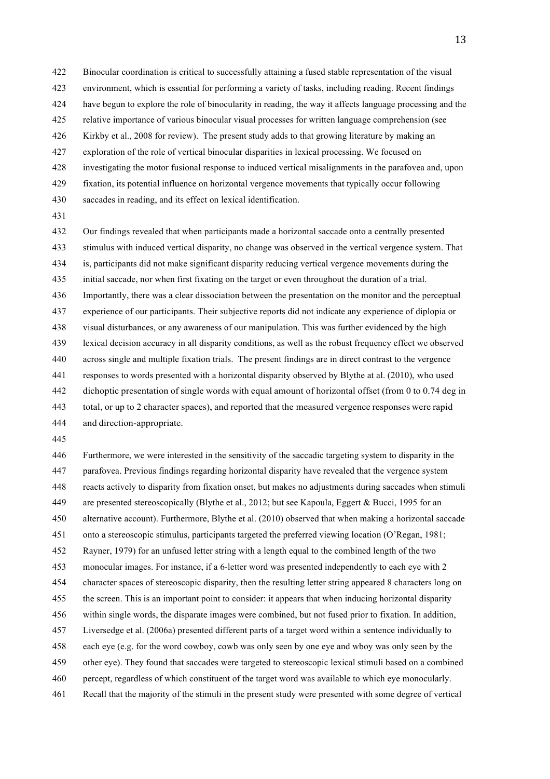- Binocular coordination is critical to successfully attaining a fused stable representation of the visual environment, which is essential for performing a variety of tasks, including reading. Recent findings have begun to explore the role of binocularity in reading, the way it affects language processing and the relative importance of various binocular visual processes for written language comprehension (see Kirkby et al., 2008 for review). The present study adds to that growing literature by making an exploration of the role of vertical binocular disparities in lexical processing. We focused on
- investigating the motor fusional response to induced vertical misalignments in the parafovea and, upon
- fixation, its potential influence on horizontal vergence movements that typically occur following
- saccades in reading, and its effect on lexical identification.
- 

 Our findings revealed that when participants made a horizontal saccade onto a centrally presented stimulus with induced vertical disparity, no change was observed in the vertical vergence system. That is, participants did not make significant disparity reducing vertical vergence movements during the initial saccade, nor when first fixating on the target or even throughout the duration of a trial. Importantly, there was a clear dissociation between the presentation on the monitor and the perceptual experience of our participants. Their subjective reports did not indicate any experience of diplopia or visual disturbances, or any awareness of our manipulation. This was further evidenced by the high lexical decision accuracy in all disparity conditions, as well as the robust frequency effect we observed across single and multiple fixation trials. The present findings are in direct contrast to the vergence responses to words presented with a horizontal disparity observed by Blythe at al. (2010), who used dichoptic presentation of single words with equal amount of horizontal offset (from 0 to 0.74 deg in total, or up to 2 character spaces), and reported that the measured vergence responses were rapid and direction-appropriate.

 Furthermore, we were interested in the sensitivity of the saccadic targeting system to disparity in the parafovea. Previous findings regarding horizontal disparity have revealed that the vergence system reacts actively to disparity from fixation onset, but makes no adjustments during saccades when stimuli are presented stereoscopically (Blythe et al., 2012; but see Kapoula, Eggert & Bucci, 1995 for an alternative account). Furthermore, Blythe et al. (2010) observed that when making a horizontal saccade onto a stereoscopic stimulus, participants targeted the preferred viewing location (O'Regan, 1981; Rayner, 1979) for an unfused letter string with a length equal to the combined length of the two monocular images. For instance, if a 6-letter word was presented independently to each eye with 2 character spaces of stereoscopic disparity, then the resulting letter string appeared 8 characters long on the screen. This is an important point to consider: it appears that when inducing horizontal disparity within single words, the disparate images were combined, but not fused prior to fixation. In addition, Liversedge et al. (2006a) presented different parts of a target word within a sentence individually to each eye (e.g. for the word cowboy, cowb was only seen by one eye and wboy was only seen by the other eye). They found that saccades were targeted to stereoscopic lexical stimuli based on a combined percept, regardless of which constituent of the target word was available to which eye monocularly. Recall that the majority of the stimuli in the present study were presented with some degree of vertical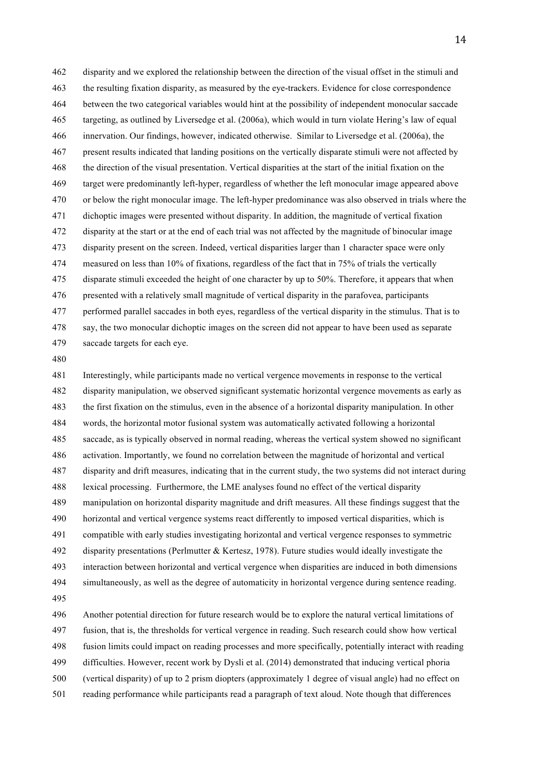disparity and we explored the relationship between the direction of the visual offset in the stimuli and the resulting fixation disparity, as measured by the eye-trackers. Evidence for close correspondence between the two categorical variables would hint at the possibility of independent monocular saccade targeting, as outlined by Liversedge et al. (2006a), which would in turn violate Hering's law of equal innervation. Our findings, however, indicated otherwise. Similar to Liversedge et al. (2006a), the present results indicated that landing positions on the vertically disparate stimuli were not affected by the direction of the visual presentation. Vertical disparities at the start of the initial fixation on the target were predominantly left-hyper, regardless of whether the left monocular image appeared above or below the right monocular image. The left-hyper predominance was also observed in trials where the dichoptic images were presented without disparity. In addition, the magnitude of vertical fixation disparity at the start or at the end of each trial was not affected by the magnitude of binocular image disparity present on the screen. Indeed, vertical disparities larger than 1 character space were only measured on less than 10% of fixations, regardless of the fact that in 75% of trials the vertically disparate stimuli exceeded the height of one character by up to 50%. Therefore, it appears that when presented with a relatively small magnitude of vertical disparity in the parafovea, participants performed parallel saccades in both eyes, regardless of the vertical disparity in the stimulus. That is to say, the two monocular dichoptic images on the screen did not appear to have been used as separate saccade targets for each eye.

 Interestingly, while participants made no vertical vergence movements in response to the vertical disparity manipulation, we observed significant systematic horizontal vergence movements as early as the first fixation on the stimulus, even in the absence of a horizontal disparity manipulation. In other words, the horizontal motor fusional system was automatically activated following a horizontal saccade, as is typically observed in normal reading, whereas the vertical system showed no significant activation. Importantly, we found no correlation between the magnitude of horizontal and vertical disparity and drift measures, indicating that in the current study, the two systems did not interact during lexical processing. Furthermore, the LME analyses found no effect of the vertical disparity manipulation on horizontal disparity magnitude and drift measures. All these findings suggest that the horizontal and vertical vergence systems react differently to imposed vertical disparities, which is compatible with early studies investigating horizontal and vertical vergence responses to symmetric disparity presentations (Perlmutter & Kertesz, 1978). Future studies would ideally investigate the interaction between horizontal and vertical vergence when disparities are induced in both dimensions simultaneously, as well as the degree of automaticity in horizontal vergence during sentence reading.

Another potential direction for future research would be to explore the natural vertical limitations of

fusion, that is, the thresholds for vertical vergence in reading. Such research could show how vertical

fusion limits could impact on reading processes and more specifically, potentially interact with reading

- difficulties. However, recent work by Dysli et al. (2014) demonstrated that inducing vertical phoria
- (vertical disparity) of up to 2 prism diopters (approximately 1 degree of visual angle) had no effect on
- reading performance while participants read a paragraph of text aloud. Note though that differences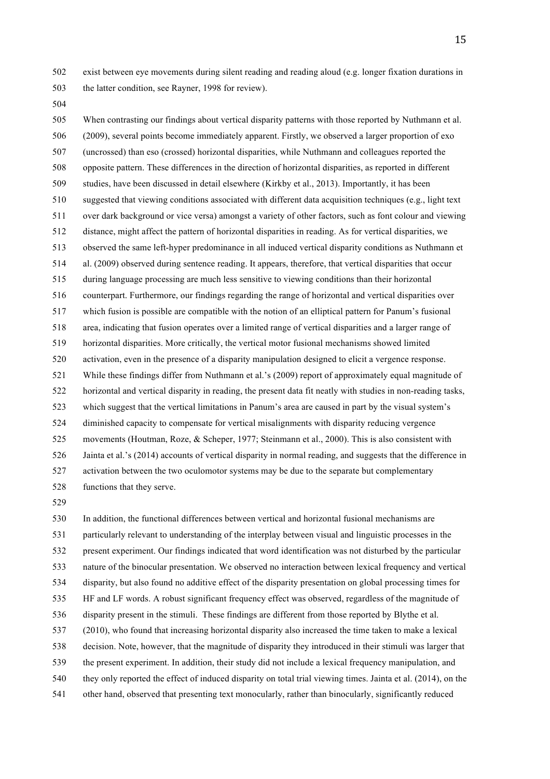exist between eye movements during silent reading and reading aloud (e.g. longer fixation durations in the latter condition, see Rayner, 1998 for review).

 When contrasting our findings about vertical disparity patterns with those reported by Nuthmann et al. (2009), several points become immediately apparent. Firstly, we observed a larger proportion of exo (uncrossed) than eso (crossed) horizontal disparities, while Nuthmann and colleagues reported the opposite pattern. These differences in the direction of horizontal disparities, as reported in different studies, have been discussed in detail elsewhere (Kirkby et al., 2013). Importantly, it has been suggested that viewing conditions associated with different data acquisition techniques (e.g., light text over dark background or vice versa) amongst a variety of other factors, such as font colour and viewing distance, might affect the pattern of horizontal disparities in reading. As for vertical disparities, we observed the same left-hyper predominance in all induced vertical disparity conditions as Nuthmann et al. (2009) observed during sentence reading. It appears, therefore, that vertical disparities that occur during language processing are much less sensitive to viewing conditions than their horizontal counterpart. Furthermore, our findings regarding the range of horizontal and vertical disparities over which fusion is possible are compatible with the notion of an elliptical pattern for Panum's fusional area, indicating that fusion operates over a limited range of vertical disparities and a larger range of horizontal disparities. More critically, the vertical motor fusional mechanisms showed limited activation, even in the presence of a disparity manipulation designed to elicit a vergence response. While these findings differ from Nuthmann et al.'s (2009) report of approximately equal magnitude of horizontal and vertical disparity in reading, the present data fit neatly with studies in non-reading tasks, which suggest that the vertical limitations in Panum's area are caused in part by the visual system's diminished capacity to compensate for vertical misalignments with disparity reducing vergence movements (Houtman, Roze, & Scheper, 1977; Steinmann et al., 2000). This is also consistent with Jainta et al.'s (2014) accounts of vertical disparity in normal reading, and suggests that the difference in activation between the two oculomotor systems may be due to the separate but complementary functions that they serve.

 In addition, the functional differences between vertical and horizontal fusional mechanisms are particularly relevant to understanding of the interplay between visual and linguistic processes in the present experiment. Our findings indicated that word identification was not disturbed by the particular nature of the binocular presentation. We observed no interaction between lexical frequency and vertical disparity, but also found no additive effect of the disparity presentation on global processing times for HF and LF words. A robust significant frequency effect was observed, regardless of the magnitude of disparity present in the stimuli. These findings are different from those reported by Blythe et al. (2010), who found that increasing horizontal disparity also increased the time taken to make a lexical decision. Note, however, that the magnitude of disparity they introduced in their stimuli was larger that the present experiment. In addition, their study did not include a lexical frequency manipulation, and

- they only reported the effect of induced disparity on total trial viewing times. Jainta et al. (2014), on the
- other hand, observed that presenting text monocularly, rather than binocularly, significantly reduced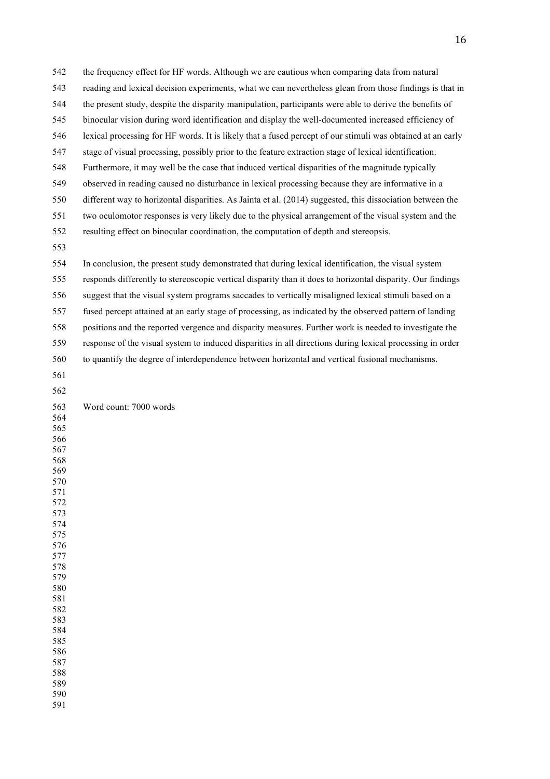the frequency effect for HF words. Although we are cautious when comparing data from natural reading and lexical decision experiments, what we can nevertheless glean from those findings is that in the present study, despite the disparity manipulation, participants were able to derive the benefits of binocular vision during word identification and display the well-documented increased efficiency of lexical processing for HF words. It is likely that a fused percept of our stimuli was obtained at an early stage of visual processing, possibly prior to the feature extraction stage of lexical identification. Furthermore, it may well be the case that induced vertical disparities of the magnitude typically observed in reading caused no disturbance in lexical processing because they are informative in a different way to horizontal disparities. As Jainta et al. (2014) suggested, this dissociation between the two oculomotor responses is very likely due to the physical arrangement of the visual system and the resulting effect on binocular coordination, the computation of depth and stereopsis.

 In conclusion, the present study demonstrated that during lexical identification, the visual system responds differently to stereoscopic vertical disparity than it does to horizontal disparity. Our findings suggest that the visual system programs saccades to vertically misaligned lexical stimuli based on a fused percept attained at an early stage of processing, as indicated by the observed pattern of landing positions and the reported vergence and disparity measures. Further work is needed to investigate the response of the visual system to induced disparities in all directions during lexical processing in order to quantify the degree of interdependence between horizontal and vertical fusional mechanisms.

- 
- 

Word count: 7000 words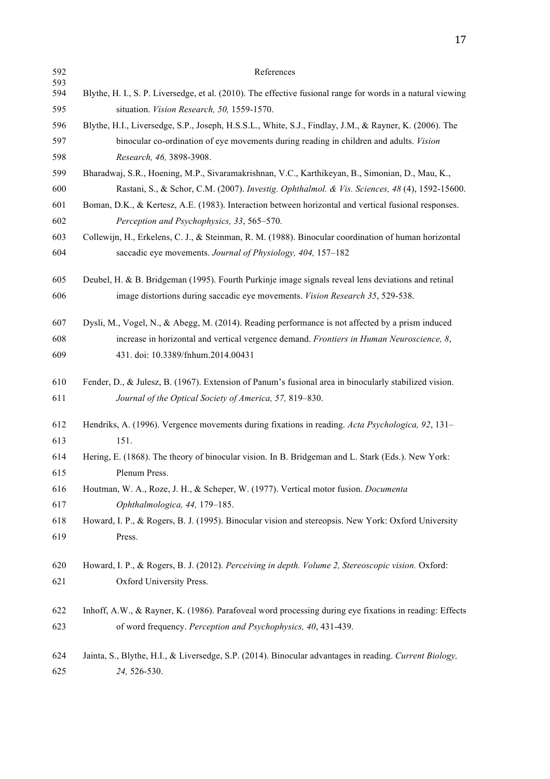| 592        | References                                                                                                  |
|------------|-------------------------------------------------------------------------------------------------------------|
| 593<br>594 | Blythe, H. I., S. P. Liversedge, et al. (2010). The effective fusional range for words in a natural viewing |
| 595        | situation. Vision Research, 50, 1559-1570.                                                                  |
| 596        | Blythe, H.I., Liversedge, S.P., Joseph, H.S.S.L., White, S.J., Findlay, J.M., & Rayner, K. (2006). The      |
| 597        | binocular co-ordination of eye movements during reading in children and adults. Vision                      |
| 598        | Research, 46, 3898-3908.                                                                                    |
| 599        | Bharadwaj, S.R., Hoening, M.P., Sivaramakrishnan, V.C., Karthikeyan, B., Simonian, D., Mau, K.,             |
| 600        | Rastani, S., & Schor, C.M. (2007). Investig. Ophthalmol. & Vis. Sciences, 48 (4), 1592-15600.               |
| 601        | Boman, D.K., & Kertesz, A.E. (1983). Interaction between horizontal and vertical fusional responses.        |
| 602        | Perception and Psychophysics, 33, 565-570.                                                                  |
| 603        | Collewijn, H., Erkelens, C. J., & Steinman, R. M. (1988). Binocular coordination of human horizontal        |
| 604        | saccadic eye movements. Journal of Physiology, 404, 157-182                                                 |
| 605        | Deubel, H. & B. Bridgeman (1995). Fourth Purkinje image signals reveal lens deviations and retinal          |
| 606        | image distortions during saccadic eye movements. <i>Vision Research 35</i> , 529-538.                       |
| 607        | Dysli, M., Vogel, N., & Abegg, M. (2014). Reading performance is not affected by a prism induced            |
| 608        | increase in horizontal and vertical vergence demand. Frontiers in Human Neuroscience, 8,                    |
| 609        | 431. doi: 10.3389/fnhum.2014.00431                                                                          |
| 610        | Fender, D., & Julesz, B. (1967). Extension of Panum's fusional area in binocularly stabilized vision.       |
| 611        | Journal of the Optical Society of America, 57, 819-830.                                                     |
| 612        | Hendriks, A. (1996). Vergence movements during fixations in reading. Acta Psychologica, 92, 131–            |
| 613        | 151.                                                                                                        |
| 614        | Hering, E. (1868). The theory of binocular vision. In B. Bridgeman and L. Stark (Eds.). New York:           |
| 615        | Plenum Press.                                                                                               |
| 616        | Houtman, W. A., Roze, J. H., & Scheper, W. (1977). Vertical motor fusion. <i>Documenta</i>                  |
| 617        | Ophthalmologica, 44, 179-185.                                                                               |
| 618        | Howard, I. P., & Rogers, B. J. (1995). Binocular vision and stereopsis. New York: Oxford University         |
| 619        | Press.                                                                                                      |
| 620        | Howard, I. P., & Rogers, B. J. (2012). Perceiving in depth. Volume 2, Stereoscopic vision. Oxford:          |
| 621        | Oxford University Press.                                                                                    |
| 622        | Inhoff, A.W., & Rayner, K. (1986). Parafoveal word processing during eye fixations in reading: Effects      |
| 623        | of word frequency. Perception and Psychophysics, 40, 431-439.                                               |
| 624        | Jainta, S., Blythe, H.I., & Liversedge, S.P. (2014). Binocular advantages in reading. Current Biology,      |
| 625        | 24, 526-530.                                                                                                |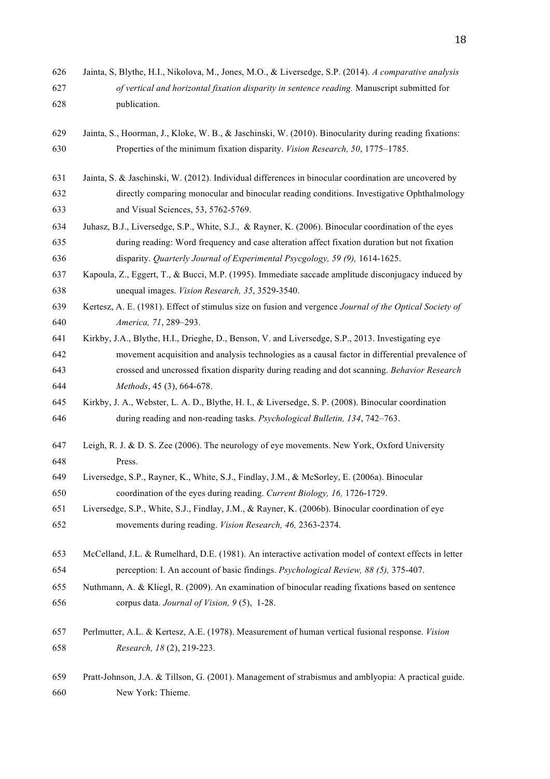Jainta, S, Blythe, H.I., Nikolova, M., Jones, M.O., & Liversedge, S.P. (2014). *A comparative analysis of vertical and horizontal fixation disparity in sentence reading.* Manuscript submitted for publication. Jainta, S., Hoorman, J., Kloke, W. B., & Jaschinski, W. (2010). Binocularity during reading fixations: Properties of the minimum fixation disparity. *Vision Research, 50*, 1775–1785. Jainta, S. & Jaschinski, W. (2012). Individual differences in binocular coordination are uncovered by directly comparing monocular and binocular reading conditions. Investigative Ophthalmology and Visual Sciences, 53, 5762-5769. Juhasz, B.J., Liversedge, S.P., White, S.J., & Rayner, K. (2006). Binocular coordination of the eyes during reading: Word frequency and case alteration affect fixation duration but not fixation disparity. *Quarterly Journal of Experimental Psycgology, 59 (9),* 1614-1625. Kapoula, Z., Eggert, T., & Bucci, M.P. (1995). Immediate saccade amplitude disconjugacy induced by unequal images. *Vision Research, 35*, 3529-3540. Kertesz, A. E. (1981). Effect of stimulus size on fusion and vergence *Journal of the Optical Society of America, 71*, 289–293. Kirkby, J.A., Blythe, H.I., Drieghe, D., Benson, V. and Liversedge, S.P., 2013. Investigating eye movement acquisition and analysis technologies as a causal factor in differential prevalence of crossed and uncrossed fixation disparity during reading and dot scanning. *Behavior Research Methods*, 45 (3), 664-678. Kirkby, J. A., Webster, L. A. D., Blythe, H. I., & Liversedge, S. P. (2008). Binocular coordination during reading and non-reading tasks. *Psychological Bulletin, 134*, 742–763. Leigh, R. J. & D. S. Zee (2006). The neurology of eye movements. New York, Oxford University Press. Liversedge, S.P., Rayner, K., White, S.J., Findlay, J.M., & McSorley, E. (2006a). Binocular coordination of the eyes during reading. *Current Biology, 16,* 1726-1729. Liversedge, S.P., White, S.J., Findlay, J.M., & Rayner, K. (2006b). Binocular coordination of eye movements during reading. *Vision Research, 46,* 2363-2374. McCelland, J.L. & Rumelhard, D.E. (1981). An interactive activation model of context effects in letter perception: I. An account of basic findings. *Psychological Review, 88 (5),* 375-407. Nuthmann, A. & Kliegl, R. (2009). An examination of binocular reading fixations based on sentence corpus data. *Journal of Vision, 9* (5), 1-28. Perlmutter, A.L. & Kertesz, A.E. (1978). Measurement of human vertical fusional response. *Vision Research, 18* (2), 219-223. Pratt-Johnson, J.A. & Tillson, G. (2001). Management of strabismus and amblyopia: A practical guide. New York: Thieme.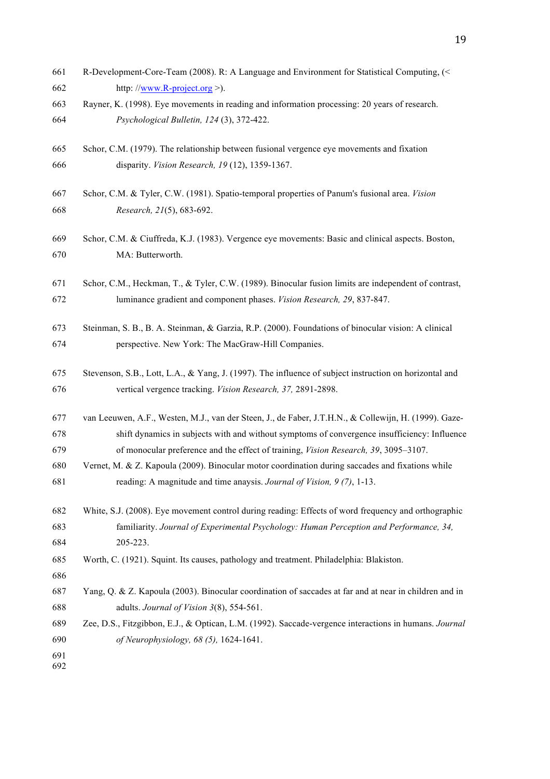| 661        | R-Development-Core-Team (2008). R: A Language and Environment for Statistical Computing, (<                                                     |
|------------|-------------------------------------------------------------------------------------------------------------------------------------------------|
| 662        | http://www.R-project.org >).                                                                                                                    |
| 663        | Rayner, K. (1998). Eye movements in reading and information processing: 20 years of research.                                                   |
| 664        | Psychological Bulletin, 124 (3), 372-422.                                                                                                       |
| 665        | Schor, C.M. (1979). The relationship between fusional vergence eye movements and fixation                                                       |
| 666        | disparity. Vision Research, 19 (12), 1359-1367.                                                                                                 |
| 667        | Schor, C.M. & Tyler, C.W. (1981). Spatio-temporal properties of Panum's fusional area. Vision                                                   |
| 668        | Research, 21(5), 683-692.                                                                                                                       |
| 669        | Schor, C.M. & Ciuffreda, K.J. (1983). Vergence eye movements: Basic and clinical aspects. Boston,                                               |
| 670        | MA: Butterworth.                                                                                                                                |
| 671        | Schor, C.M., Heckman, T., & Tyler, C.W. (1989). Binocular fusion limits are independent of contrast,                                            |
| 672        | luminance gradient and component phases. Vision Research, 29, 837-847.                                                                          |
| 673        | Steinman, S. B., B. A. Steinman, & Garzia, R.P. (2000). Foundations of binocular vision: A clinical                                             |
| 674        | perspective. New York: The MacGraw-Hill Companies.                                                                                              |
| 675        | Stevenson, S.B., Lott, L.A., & Yang, J. (1997). The influence of subject instruction on horizontal and                                          |
| 676        | vertical vergence tracking. Vision Research, 37, 2891-2898.                                                                                     |
| 677        | van Leeuwen, A.F., Westen, M.J., van der Steen, J., de Faber, J.T.H.N., & Collewijn, H. (1999). Gaze-                                           |
| 678        | shift dynamics in subjects with and without symptoms of convergence insufficiency: Influence                                                    |
| 679        | of monocular preference and the effect of training, Vision Research, 39, 3095-3107.                                                             |
| 680        | Vernet, M. & Z. Kapoula (2009). Binocular motor coordination during saccades and fixations while                                                |
| 681        | reading: A magnitude and time anaysis. Journal of Vision, 9 (7), 1-13.                                                                          |
| 682        | White, S.J. (2008). Eye movement control during reading: Effects of word frequency and orthographic                                             |
| 683        | familiarity. Journal of Experimental Psychology: Human Perception and Performance, 34,                                                          |
| 684        | 205-223.                                                                                                                                        |
| 685        | Worth, C. (1921). Squint. Its causes, pathology and treatment. Philadelphia: Blakiston.                                                         |
| 686<br>687 | Yang, Q. & Z. Kapoula (2003). Binocular coordination of saccades at far and at near in children and in                                          |
|            |                                                                                                                                                 |
| 688        | adults. Journal of Vision 3(8), 554-561.                                                                                                        |
| 689<br>690 | Zee, D.S., Fitzgibbon, E.J., & Optican, L.M. (1992). Saccade-vergence interactions in humans. Journal<br>of Neurophysiology, 68 (5), 1624-1641. |
| 691        |                                                                                                                                                 |
| 692        |                                                                                                                                                 |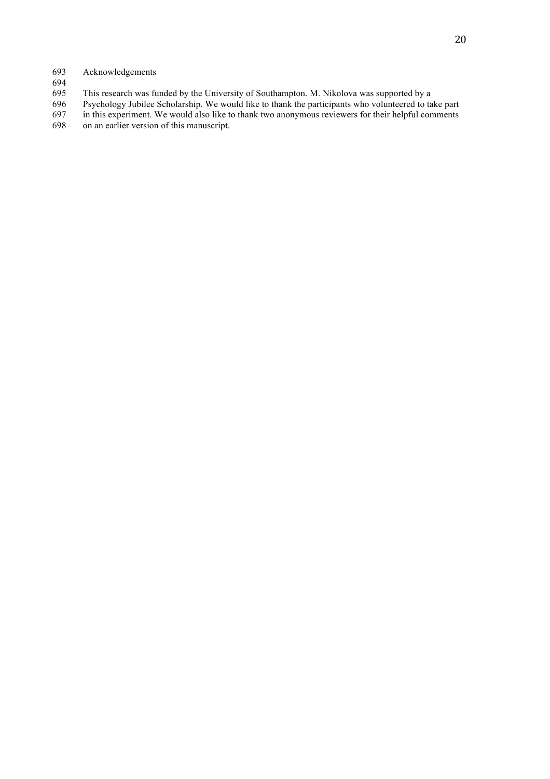- Acknowledgements
- 
- This research was funded by the University of Southampton. M. Nikolova was supported by a
- Psychology Jubilee Scholarship. We would like to thank the participants who volunteered to take part
- in this experiment. We would also like to thank two anonymous reviewers for their helpful comments
- on an earlier version of this manuscript.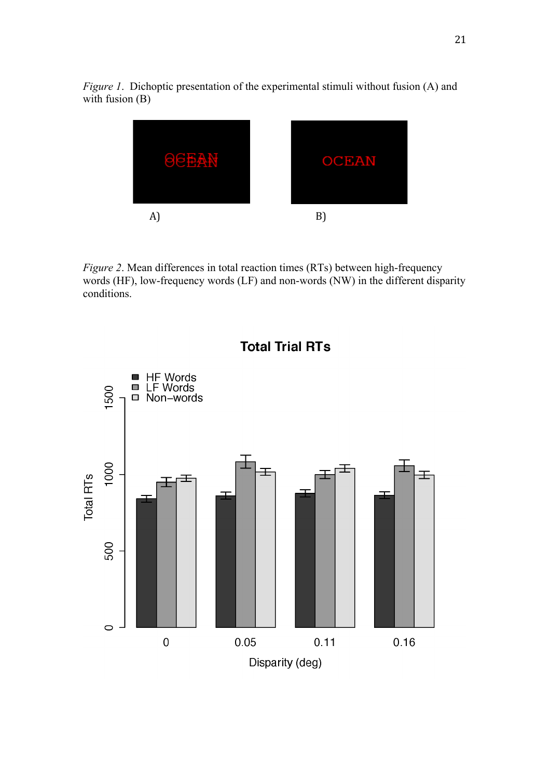*Figure 1*. Dichoptic presentation of the experimental stimuli without fusion (A) and with fusion (B)



*Figure 2*. Mean differences in total reaction times (RTs) between high-frequency words (HF), low-frequency words (LF) and non-words (NW) in the different disparity conditions.



## **Total Trial RTs**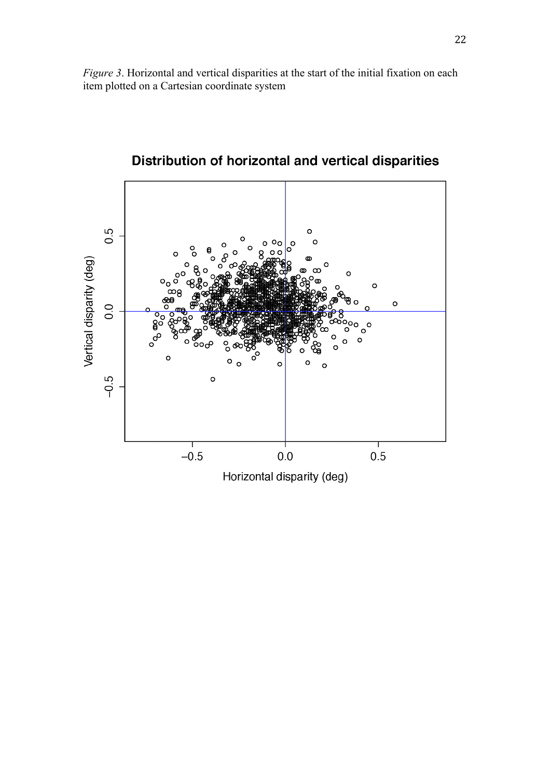*Figure 3*. Horizontal and vertical disparities at the start of the initial fixation on each item plotted on a Cartesian coordinate system



# Distribution of horizontal and vertical disparities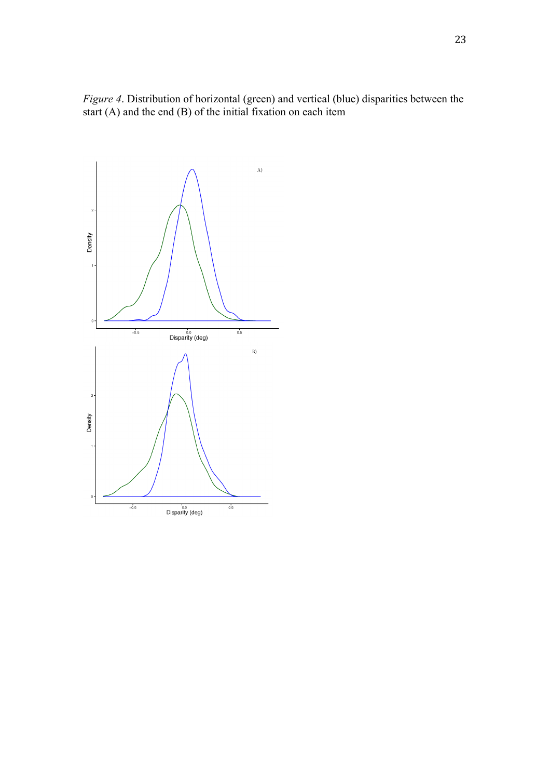*Figure 4*. Distribution of horizontal (green) and vertical (blue) disparities between the start (A) and the end (B) of the initial fixation on each item